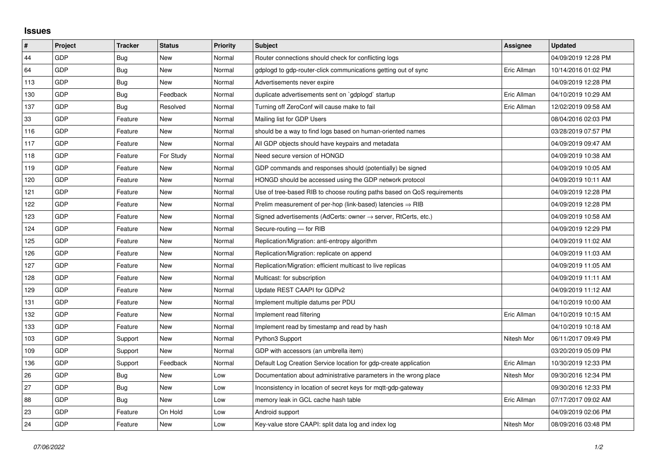## **Issues**

| $\sharp$ | Project    | <b>Tracker</b> | <b>Status</b> | <b>Priority</b> | <b>Subject</b>                                                             | Assignee    | <b>Updated</b>      |
|----------|------------|----------------|---------------|-----------------|----------------------------------------------------------------------------|-------------|---------------------|
| 44       | <b>GDP</b> | Bug            | <b>New</b>    | Normal          | Router connections should check for conflicting logs                       |             | 04/09/2019 12:28 PM |
| 64       | GDP        | <b>Bug</b>     | <b>New</b>    | Normal          | gdplogd to gdp-router-click communications getting out of sync             | Eric Allman | 10/14/2016 01:02 PM |
| 113      | <b>GDP</b> | <b>Bug</b>     | <b>New</b>    | Normal          | Advertisements never expire                                                |             | 04/09/2019 12:28 PM |
| 130      | GDP        | <b>Bug</b>     | Feedback      | Normal          | duplicate advertisements sent on `gdplogd` startup                         | Eric Allman | 04/10/2019 10:29 AM |
| 137      | <b>GDP</b> | Bug            | Resolved      | Normal          | Turning off ZeroConf will cause make to fail                               | Eric Allman | 12/02/2019 09:58 AM |
| 33       | <b>GDP</b> | Feature        | <b>New</b>    | Normal          | Mailing list for GDP Users                                                 |             | 08/04/2016 02:03 PM |
| 116      | <b>GDP</b> | Feature        | <b>New</b>    | Normal          | should be a way to find logs based on human-oriented names                 |             | 03/28/2019 07:57 PM |
| 117      | <b>GDP</b> | Feature        | <b>New</b>    | Normal          | All GDP objects should have keypairs and metadata                          |             | 04/09/2019 09:47 AM |
| 118      | <b>GDP</b> | Feature        | For Study     | Normal          | Need secure version of HONGD                                               |             | 04/09/2019 10:38 AM |
| 119      | <b>GDP</b> | Feature        | <b>New</b>    | Normal          | GDP commands and responses should (potentially) be signed                  |             | 04/09/2019 10:05 AM |
| 120      | <b>GDP</b> | Feature        | <b>New</b>    | Normal          | HONGD should be accessed using the GDP network protocol                    |             | 04/09/2019 10:11 AM |
| 121      | <b>GDP</b> | Feature        | <b>New</b>    | Normal          | Use of tree-based RIB to choose routing paths based on QoS requirements    |             | 04/09/2019 12:28 PM |
| 122      | GDP        | Feature        | <b>New</b>    | Normal          | Prelim measurement of per-hop (link-based) latencies $\Rightarrow$ RIB     |             | 04/09/2019 12:28 PM |
| 123      | <b>GDP</b> | Feature        | <b>New</b>    | Normal          | Signed advertisements (AdCerts: owner $\rightarrow$ server, RtCerts, etc.) |             | 04/09/2019 10:58 AM |
| 124      | <b>GDP</b> | Feature        | <b>New</b>    | Normal          | Secure-routing - for RIB                                                   |             | 04/09/2019 12:29 PM |
| 125      | <b>GDP</b> | Feature        | <b>New</b>    | Normal          | Replication/Migration: anti-entropy algorithm                              |             | 04/09/2019 11:02 AM |
| 126      | <b>GDP</b> | Feature        | <b>New</b>    | Normal          | Replication/Migration: replicate on append                                 |             | 04/09/2019 11:03 AM |
| 127      | <b>GDP</b> | Feature        | <b>New</b>    | Normal          | Replication/Migration: efficient multicast to live replicas                |             | 04/09/2019 11:05 AM |
| 128      | <b>GDP</b> | Feature        | <b>New</b>    | Normal          | Multicast: for subscription                                                |             | 04/09/2019 11:11 AM |
| 129      | <b>GDP</b> | Feature        | <b>New</b>    | Normal          | Update REST CAAPI for GDPv2                                                |             | 04/09/2019 11:12 AM |
| 131      | <b>GDP</b> | Feature        | <b>New</b>    | Normal          | Implement multiple datums per PDU                                          |             | 04/10/2019 10:00 AM |
| 132      | <b>GDP</b> | Feature        | <b>New</b>    | Normal          | Implement read filtering                                                   | Eric Allman | 04/10/2019 10:15 AM |
| 133      | <b>GDP</b> | Feature        | <b>New</b>    | Normal          | Implement read by timestamp and read by hash                               |             | 04/10/2019 10:18 AM |
| 103      | <b>GDP</b> | Support        | New           | Normal          | Python3 Support                                                            | Nitesh Mor  | 06/11/2017 09:49 PM |
| 109      | <b>GDP</b> | Support        | <b>New</b>    | Normal          | GDP with accessors (an umbrella item)                                      |             | 03/20/2019 05:09 PM |
| 136      | GDP        | Support        | Feedback      | Normal          | Default Log Creation Service location for gdp-create application           | Eric Allman | 10/30/2019 12:33 PM |
| 26       | <b>GDP</b> | <b>Bug</b>     | <b>New</b>    | Low             | Documentation about administrative parameters in the wrong place           | Nitesh Mor  | 09/30/2016 12:34 PM |
| 27       | GDP        | Bug            | <b>New</b>    | Low             | Inconsistency in location of secret keys for mqtt-gdp-gateway              |             | 09/30/2016 12:33 PM |
| 88       | <b>GDP</b> | Bug            | <b>New</b>    | Low             | memory leak in GCL cache hash table                                        | Eric Allman | 07/17/2017 09:02 AM |
| 23       | <b>GDP</b> | Feature        | On Hold       | Low             | Android support                                                            |             | 04/09/2019 02:06 PM |
| 24       | GDP        | Feature        | <b>New</b>    | Low             | Key-value store CAAPI: split data log and index log                        | Nitesh Mor  | 08/09/2016 03:48 PM |